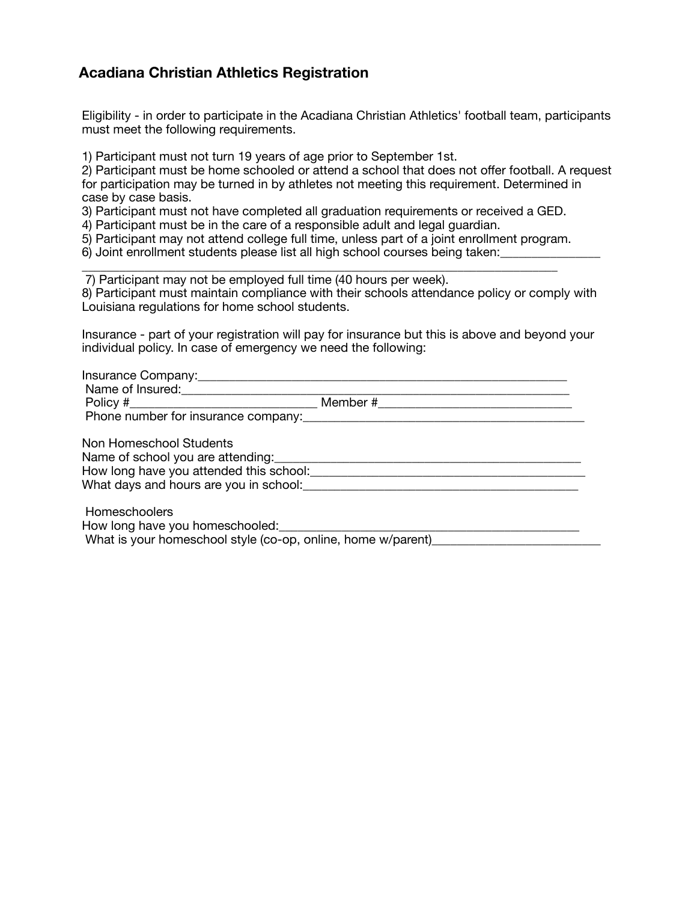## **Acadiana Christian Athletics Registration**

Eligibility - in order to participate in the Acadiana Christian Athletics' football team, participants must meet the following requirements.

1) Participant must not turn 19 years of age prior to September 1st.

2) Participant must be home schooled or attend a school that does not offer football. A request for participation may be turned in by athletes not meeting this requirement. Determined in case by case basis.

3) Participant must not have completed all graduation requirements or received a GED.

4) Participant must be in the care of a responsible adult and legal guardian.

5) Participant may not attend college full time, unless part of a joint enrollment program.

6) Joint enrollment students please list all high school courses being taken:

\_\_\_\_\_\_\_\_\_\_\_\_\_\_\_\_\_\_\_\_\_\_\_\_\_\_\_\_\_\_\_\_\_\_\_\_\_\_\_\_\_\_\_\_\_\_\_\_\_\_\_\_\_\_\_\_\_\_\_\_\_\_\_\_\_\_\_\_\_\_\_\_\_\_\_\_ 7) Participant may not be employed full time (40 hours per week). 8) Participant must maintain compliance with their schools attendance policy or comply with Louisiana regulations for home school students.

Insurance - part of your registration will pay for insurance but this is above and beyond your individual policy. In case of emergency we need the following:

| Name of Insured:<br><u> </u>            |                                |
|-----------------------------------------|--------------------------------|
| $Policy \#$                             | Member #______________________ |
| Phone number for insurance company:     |                                |
| Non Homeschool Students                 |                                |
| Name of school you are attending:       |                                |
| How long have you attended this school: |                                |
| What days and hours are you in school:  |                                |
| Homeschoolers                           |                                |

How long have you homeschooled:

What is your homeschool style (co-op, online, home w/parent)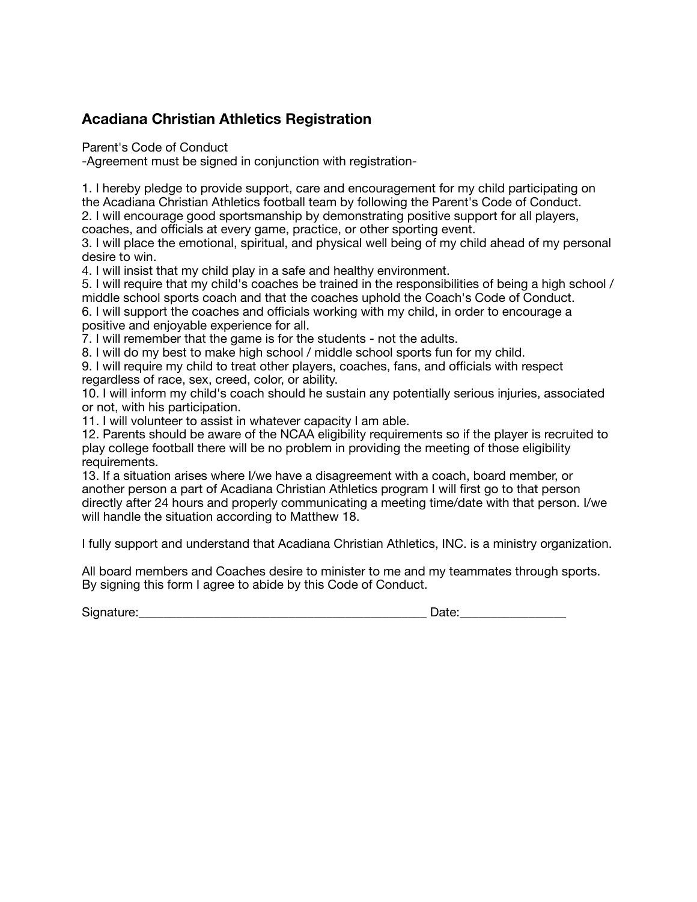## **Acadiana Christian Athletics Registration**

Parent's Code of Conduct

-Agreement must be signed in conjunction with registration-

1. I hereby pledge to provide support, care and encouragement for my child participating on the Acadiana Christian Athletics football team by following the Parent's Code of Conduct.

2. I will encourage good sportsmanship by demonstrating positive support for all players, coaches, and officials at every game, practice, or other sporting event.

3. I will place the emotional, spiritual, and physical well being of my child ahead of my personal desire to win.

4. I will insist that my child play in a safe and healthy environment.

5. I will require that my child's coaches be trained in the responsibilities of being a high school / middle school sports coach and that the coaches uphold the Coach's Code of Conduct.

6. I will support the coaches and officials working with my child, in order to encourage a positive and enjoyable experience for all.

7. I will remember that the game is for the students - not the adults.

8. I will do my best to make high school / middle school sports fun for my child.

9. I will require my child to treat other players, coaches, fans, and officials with respect regardless of race, sex, creed, color, or ability.

10. I will inform my child's coach should he sustain any potentially serious injuries, associated or not, with his participation.

11. I will volunteer to assist in whatever capacity I am able.

12. Parents should be aware of the NCAA eligibility requirements so if the player is recruited to play college football there will be no problem in providing the meeting of those eligibility requirements.

13. If a situation arises where I/we have a disagreement with a coach, board member, or another person a part of Acadiana Christian Athletics program I will first go to that person directly after 24 hours and properly communicating a meeting time/date with that person. I/we will handle the situation according to Matthew 18.

I fully support and understand that Acadiana Christian Athletics, INC. is a ministry organization.

All board members and Coaches desire to minister to me and my teammates through sports. By signing this form I agree to abide by this Code of Conduct.

 $\Box$  Date: